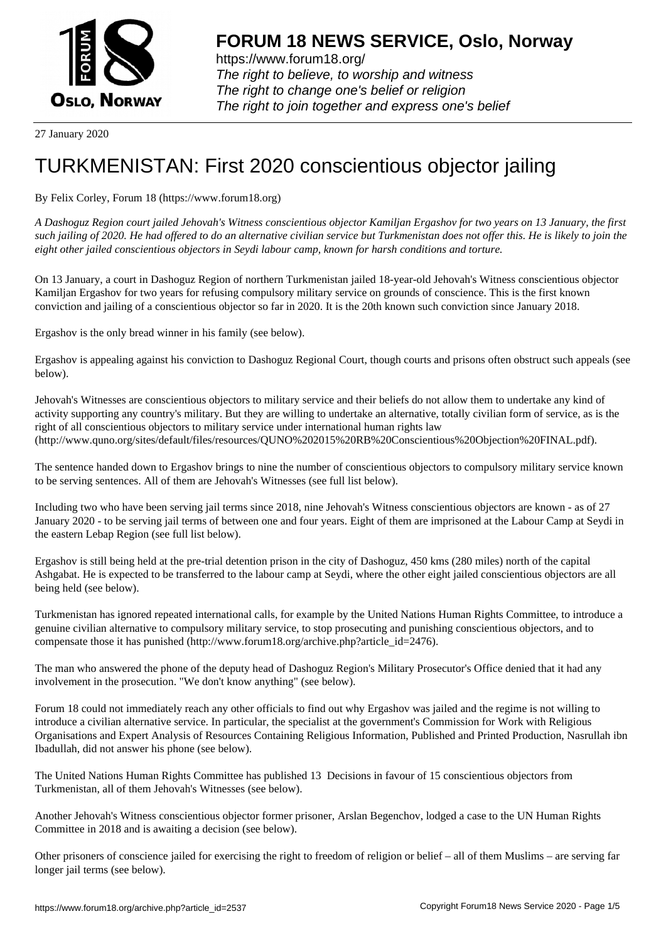

https://www.forum18.org/ The right to believe, to worship and witness The right to change one's belief or religion [The right to join together a](https://www.forum18.org/)nd express one's belief

27 January 2020

## [TURKMENISTA](https://www.forum18.org)N: First 2020 conscientious objector jailing

By Felix Corley, Forum 18 (https://www.forum18.org)

*A Dashoguz Region court jailed Jehovah's Witness conscientious objector Kamiljan Ergashov for two years on 13 January, the first such jailing of 2020. He had offered to do an alternative civilian service but Turkmenistan does not offer this. He is likely to join the eight other jailed conscientious objectors in Seydi labour camp, known for harsh conditions and torture.* 

On 13 January, a court in Dashoguz Region of northern Turkmenistan jailed 18-year-old Jehovah's Witness conscientious objector Kamiljan Ergashov for two years for refusing compulsory military service on grounds of conscience. This is the first known conviction and jailing of a conscientious objector so far in 2020. It is the 20th known such conviction since January 2018.

Ergashov is the only bread winner in his family (see below).

Ergashov is appealing against his conviction to Dashoguz Regional Court, though courts and prisons often obstruct such appeals (see below).

Jehovah's Witnesses are conscientious objectors to military service and their beliefs do not allow them to undertake any kind of activity supporting any country's military. But they are willing to undertake an alternative, totally civilian form of service, as is the right of all conscientious objectors to military service under international human rights law (http://www.quno.org/sites/default/files/resources/QUNO%202015%20RB%20Conscientious%20Objection%20FINAL.pdf).

The sentence handed down to Ergashov brings to nine the number of conscientious objectors to compulsory military service known to be serving sentences. All of them are Jehovah's Witnesses (see full list below).

Including two who have been serving jail terms since 2018, nine Jehovah's Witness conscientious objectors are known - as of 27 January 2020 - to be serving jail terms of between one and four years. Eight of them are imprisoned at the Labour Camp at Seydi in the eastern Lebap Region (see full list below).

Ergashov is still being held at the pre-trial detention prison in the city of Dashoguz, 450 kms (280 miles) north of the capital Ashgabat. He is expected to be transferred to the labour camp at Seydi, where the other eight jailed conscientious objectors are all being held (see below).

Turkmenistan has ignored repeated international calls, for example by the United Nations Human Rights Committee, to introduce a genuine civilian alternative to compulsory military service, to stop prosecuting and punishing conscientious objectors, and to compensate those it has punished (http://www.forum18.org/archive.php?article\_id=2476).

The man who answered the phone of the deputy head of Dashoguz Region's Military Prosecutor's Office denied that it had any involvement in the prosecution. "We don't know anything" (see below).

Forum 18 could not immediately reach any other officials to find out why Ergashov was jailed and the regime is not willing to introduce a civilian alternative service. In particular, the specialist at the government's Commission for Work with Religious Organisations and Expert Analysis of Resources Containing Religious Information, Published and Printed Production, Nasrullah ibn Ibadullah, did not answer his phone (see below).

The United Nations Human Rights Committee has published 13 Decisions in favour of 15 conscientious objectors from Turkmenistan, all of them Jehovah's Witnesses (see below).

Another Jehovah's Witness conscientious objector former prisoner, Arslan Begenchov, lodged a case to the UN Human Rights Committee in 2018 and is awaiting a decision (see below).

Other prisoners of conscience jailed for exercising the right to freedom of religion or belief – all of them Muslims – are serving far longer jail terms (see below).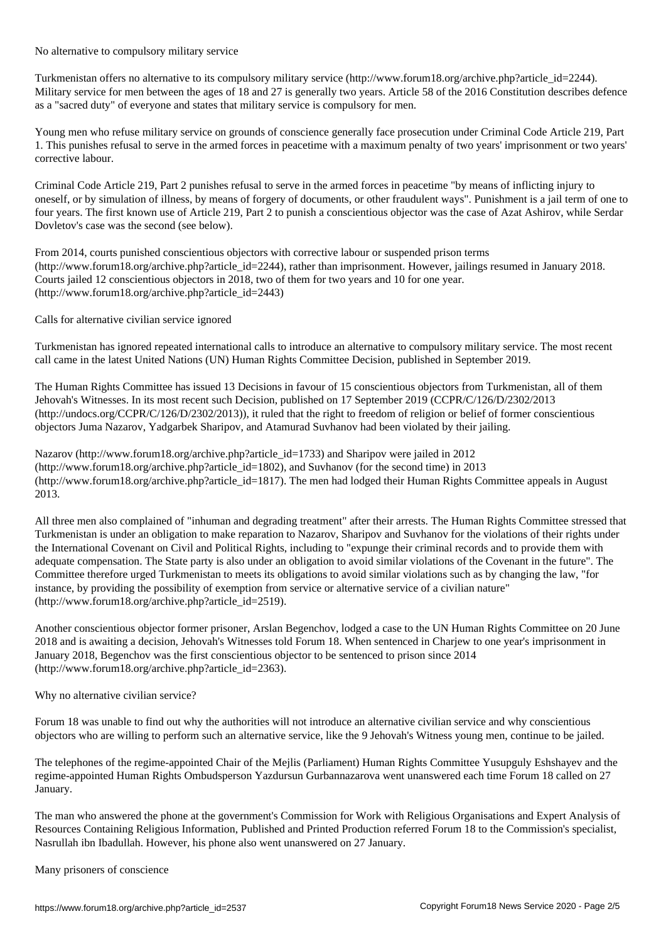No alternative to compulsory military service

Turkmenistan offers no alternative to its compulsory military service (http://www.forum18.org/archive.php?article\_id=2244). Military service for men between the ages of 18 and 27 is generally two years. Article 58 of the 2016 Constitution describes defence as a "sacred duty" of everyone and states that military service is compulsory for men.

Young men who refuse military service on grounds of conscience generally face prosecution under Criminal Code Article 219, Part 1. This punishes refusal to serve in the armed forces in peacetime with a maximum penalty of two years' imprisonment or two years' corrective labour.

Criminal Code Article 219, Part 2 punishes refusal to serve in the armed forces in peacetime "by means of inflicting injury to oneself, or by simulation of illness, by means of forgery of documents, or other fraudulent ways". Punishment is a jail term of one to four years. The first known use of Article 219, Part 2 to punish a conscientious objector was the case of Azat Ashirov, while Serdar Dovletov's case was the second (see below).

From 2014, courts punished conscientious objectors with corrective labour or suspended prison terms (http://www.forum18.org/archive.php?article\_id=2244), rather than imprisonment. However, jailings resumed in January 2018. Courts jailed 12 conscientious objectors in 2018, two of them for two years and 10 for one year. (http://www.forum18.org/archive.php?article\_id=2443)

Calls for alternative civilian service ignored

Turkmenistan has ignored repeated international calls to introduce an alternative to compulsory military service. The most recent call came in the latest United Nations (UN) Human Rights Committee Decision, published in September 2019.

The Human Rights Committee has issued 13 Decisions in favour of 15 conscientious objectors from Turkmenistan, all of them Jehovah's Witnesses. In its most recent such Decision, published on 17 September 2019 (CCPR/C/126/D/2302/2013 (http://undocs.org/CCPR/C/126/D/2302/2013)), it ruled that the right to freedom of religion or belief of former conscientious objectors Juma Nazarov, Yadgarbek Sharipov, and Atamurad Suvhanov had been violated by their jailing.

Nazarov (http://www.forum18.org/archive.php?article\_id=1733) and Sharipov were jailed in 2012 (http://www.forum18.org/archive.php?article\_id=1802), and Suvhanov (for the second time) in 2013 (http://www.forum18.org/archive.php?article\_id=1817). The men had lodged their Human Rights Committee appeals in August 2013.

All three men also complained of "inhuman and degrading treatment" after their arrests. The Human Rights Committee stressed that Turkmenistan is under an obligation to make reparation to Nazarov, Sharipov and Suvhanov for the violations of their rights under the International Covenant on Civil and Political Rights, including to "expunge their criminal records and to provide them with adequate compensation. The State party is also under an obligation to avoid similar violations of the Covenant in the future". The Committee therefore urged Turkmenistan to meets its obligations to avoid similar violations such as by changing the law, "for instance, by providing the possibility of exemption from service or alternative service of a civilian nature" (http://www.forum18.org/archive.php?article\_id=2519).

Another conscientious objector former prisoner, Arslan Begenchov, lodged a case to the UN Human Rights Committee on 20 June 2018 and is awaiting a decision, Jehovah's Witnesses told Forum 18. When sentenced in Charjew to one year's imprisonment in January 2018, Begenchov was the first conscientious objector to be sentenced to prison since 2014 (http://www.forum18.org/archive.php?article\_id=2363).

Why no alternative civilian service?

Forum 18 was unable to find out why the authorities will not introduce an alternative civilian service and why conscientious objectors who are willing to perform such an alternative service, like the 9 Jehovah's Witness young men, continue to be jailed.

The telephones of the regime-appointed Chair of the Mejlis (Parliament) Human Rights Committee Yusupguly Eshshayev and the regime-appointed Human Rights Ombudsperson Yazdursun Gurbannazarova went unanswered each time Forum 18 called on 27 January.

The man who answered the phone at the government's Commission for Work with Religious Organisations and Expert Analysis of Resources Containing Religious Information, Published and Printed Production referred Forum 18 to the Commission's specialist, Nasrullah ibn Ibadullah. However, his phone also went unanswered on 27 January.

Many prisoners of conscience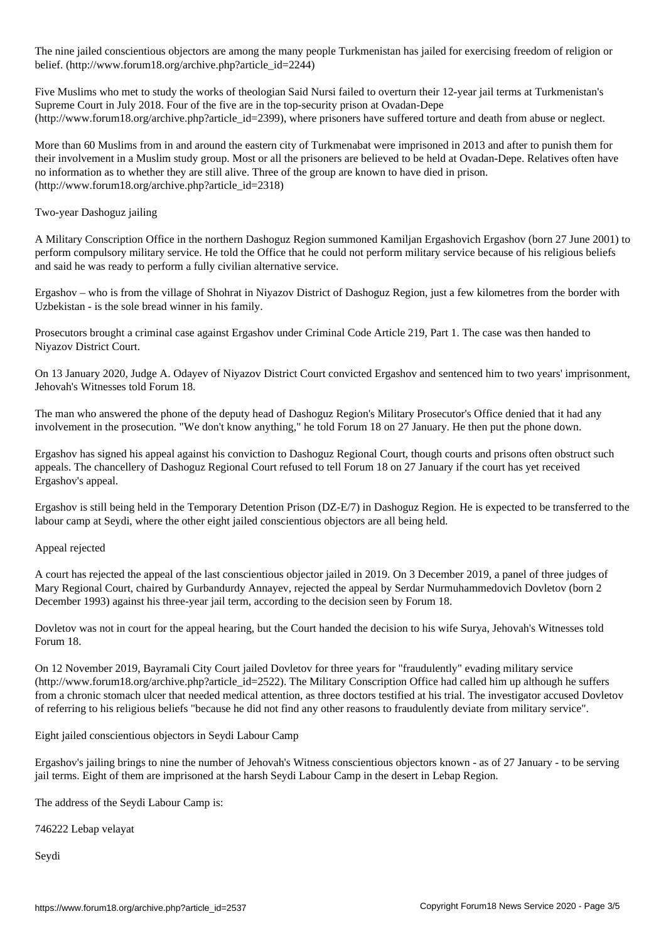The nine jailed conscientious objectors are among the many people Turkmenistan has jailed for exercising freedom of religion or belief. (http://www.forum18.org/archive.php?article\_id=2244)

Five Muslims who met to study the works of theologian Said Nursi failed to overturn their 12-year jail terms at Turkmenistan's Supreme Court in July 2018. Four of the five are in the top-security prison at Ovadan-Depe (http://www.forum18.org/archive.php?article\_id=2399), where prisoners have suffered torture and death from abuse or neglect.

More than 60 Muslims from in and around the eastern city of Turkmenabat were imprisoned in 2013 and after to punish them for their involvement in a Muslim study group. Most or all the prisoners are believed to be held at Ovadan-Depe. Relatives often have no information as to whether they are still alive. Three of the group are known to have died in prison. (http://www.forum18.org/archive.php?article\_id=2318)

## Two-year Dashoguz jailing

A Military Conscription Office in the northern Dashoguz Region summoned Kamiljan Ergashovich Ergashov (born 27 June 2001) to perform compulsory military service. He told the Office that he could not perform military service because of his religious beliefs and said he was ready to perform a fully civilian alternative service.

Ergashov – who is from the village of Shohrat in Niyazov District of Dashoguz Region, just a few kilometres from the border with Uzbekistan - is the sole bread winner in his family.

Prosecutors brought a criminal case against Ergashov under Criminal Code Article 219, Part 1. The case was then handed to Niyazov District Court.

On 13 January 2020, Judge A. Odayev of Niyazov District Court convicted Ergashov and sentenced him to two years' imprisonment, Jehovah's Witnesses told Forum 18.

The man who answered the phone of the deputy head of Dashoguz Region's Military Prosecutor's Office denied that it had any involvement in the prosecution. "We don't know anything," he told Forum 18 on 27 January. He then put the phone down.

Ergashov has signed his appeal against his conviction to Dashoguz Regional Court, though courts and prisons often obstruct such appeals. The chancellery of Dashoguz Regional Court refused to tell Forum 18 on 27 January if the court has yet received Ergashov's appeal.

Ergashov is still being held in the Temporary Detention Prison (DZ-E/7) in Dashoguz Region. He is expected to be transferred to the labour camp at Seydi, where the other eight jailed conscientious objectors are all being held.

## Appeal rejected

A court has rejected the appeal of the last conscientious objector jailed in 2019. On 3 December 2019, a panel of three judges of Mary Regional Court, chaired by Gurbandurdy Annayev, rejected the appeal by Serdar Nurmuhammedovich Dovletov (born 2 December 1993) against his three-year jail term, according to the decision seen by Forum 18.

Dovletov was not in court for the appeal hearing, but the Court handed the decision to his wife Surya, Jehovah's Witnesses told Forum 18.

On 12 November 2019, Bayramali City Court jailed Dovletov for three years for "fraudulently" evading military service (http://www.forum18.org/archive.php?article\_id=2522). The Military Conscription Office had called him up although he suffers from a chronic stomach ulcer that needed medical attention, as three doctors testified at his trial. The investigator accused Dovletov of referring to his religious beliefs "because he did not find any other reasons to fraudulently deviate from military service".

Eight jailed conscientious objectors in Seydi Labour Camp

Ergashov's jailing brings to nine the number of Jehovah's Witness conscientious objectors known - as of 27 January - to be serving jail terms. Eight of them are imprisoned at the harsh Seydi Labour Camp in the desert in Lebap Region.

The address of the Seydi Labour Camp is:

746222 Lebap velayat

Seydi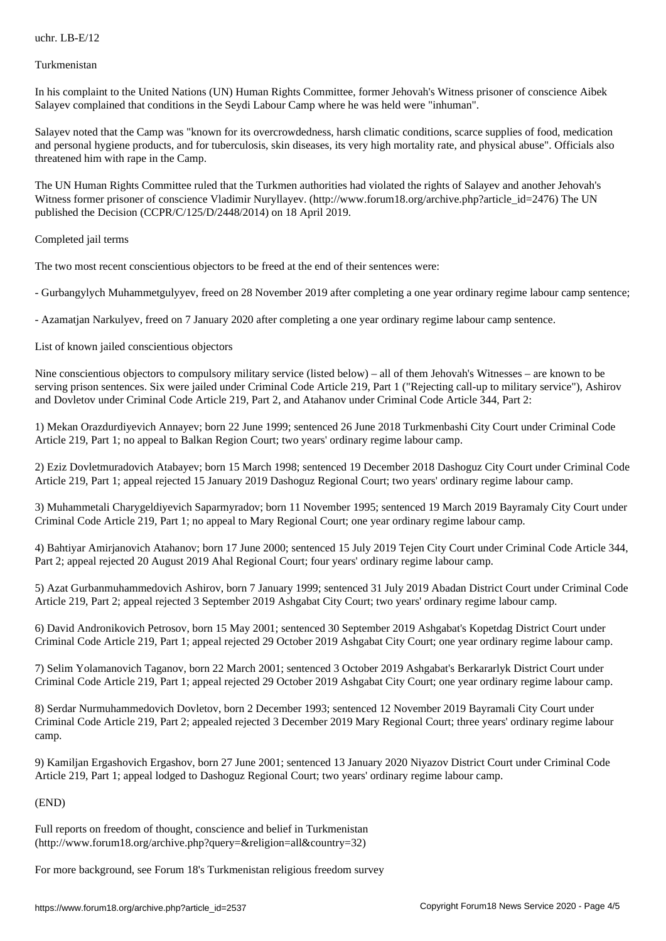Turkmenistan

In his complaint to the United Nations (UN) Human Rights Committee, former Jehovah's Witness prisoner of conscience Aibek Salayev complained that conditions in the Seydi Labour Camp where he was held were "inhuman".

Salayev noted that the Camp was "known for its overcrowdedness, harsh climatic conditions, scarce supplies of food, medication and personal hygiene products, and for tuberculosis, skin diseases, its very high mortality rate, and physical abuse". Officials also threatened him with rape in the Camp.

The UN Human Rights Committee ruled that the Turkmen authorities had violated the rights of Salayev and another Jehovah's Witness former prisoner of conscience Vladimir Nuryllayev. (http://www.forum18.org/archive.php?article\_id=2476) The UN published the Decision (CCPR/C/125/D/2448/2014) on 18 April 2019.

Completed jail terms

The two most recent conscientious objectors to be freed at the end of their sentences were:

- Gurbangylych Muhammetgulyyev, freed on 28 November 2019 after completing a one year ordinary regime labour camp sentence;

- Azamatjan Narkulyev, freed on 7 January 2020 after completing a one year ordinary regime labour camp sentence.

List of known jailed conscientious objectors

Nine conscientious objectors to compulsory military service (listed below) – all of them Jehovah's Witnesses – are known to be serving prison sentences. Six were jailed under Criminal Code Article 219, Part 1 ("Rejecting call-up to military service"), Ashirov and Dovletov under Criminal Code Article 219, Part 2, and Atahanov under Criminal Code Article 344, Part 2:

1) Mekan Orazdurdiyevich Annayev; born 22 June 1999; sentenced 26 June 2018 Turkmenbashi City Court under Criminal Code Article 219, Part 1; no appeal to Balkan Region Court; two years' ordinary regime labour camp.

2) Eziz Dovletmuradovich Atabayev; born 15 March 1998; sentenced 19 December 2018 Dashoguz City Court under Criminal Code Article 219, Part 1; appeal rejected 15 January 2019 Dashoguz Regional Court; two years' ordinary regime labour camp.

3) Muhammetali Charygeldiyevich Saparmyradov; born 11 November 1995; sentenced 19 March 2019 Bayramaly City Court under Criminal Code Article 219, Part 1; no appeal to Mary Regional Court; one year ordinary regime labour camp.

4) Bahtiyar Amirjanovich Atahanov; born 17 June 2000; sentenced 15 July 2019 Tejen City Court under Criminal Code Article 344, Part 2; appeal rejected 20 August 2019 Ahal Regional Court; four years' ordinary regime labour camp.

5) Azat Gurbanmuhammedovich Ashirov, born 7 January 1999; sentenced 31 July 2019 Abadan District Court under Criminal Code Article 219, Part 2; appeal rejected 3 September 2019 Ashgabat City Court; two years' ordinary regime labour camp.

6) David Andronikovich Petrosov, born 15 May 2001; sentenced 30 September 2019 Ashgabat's Kopetdag District Court under Criminal Code Article 219, Part 1; appeal rejected 29 October 2019 Ashgabat City Court; one year ordinary regime labour camp.

7) Selim Yolamanovich Taganov, born 22 March 2001; sentenced 3 October 2019 Ashgabat's Berkararlyk District Court under Criminal Code Article 219, Part 1; appeal rejected 29 October 2019 Ashgabat City Court; one year ordinary regime labour camp.

8) Serdar Nurmuhammedovich Dovletov, born 2 December 1993; sentenced 12 November 2019 Bayramali City Court under Criminal Code Article 219, Part 2; appealed rejected 3 December 2019 Mary Regional Court; three years' ordinary regime labour camp.

9) Kamiljan Ergashovich Ergashov, born 27 June 2001; sentenced 13 January 2020 Niyazov District Court under Criminal Code Article 219, Part 1; appeal lodged to Dashoguz Regional Court; two years' ordinary regime labour camp.

(END)

Full reports on freedom of thought, conscience and belief in Turkmenistan (http://www.forum18.org/archive.php?query=&religion=all&country=32)

For more background, see Forum 18's Turkmenistan religious freedom survey